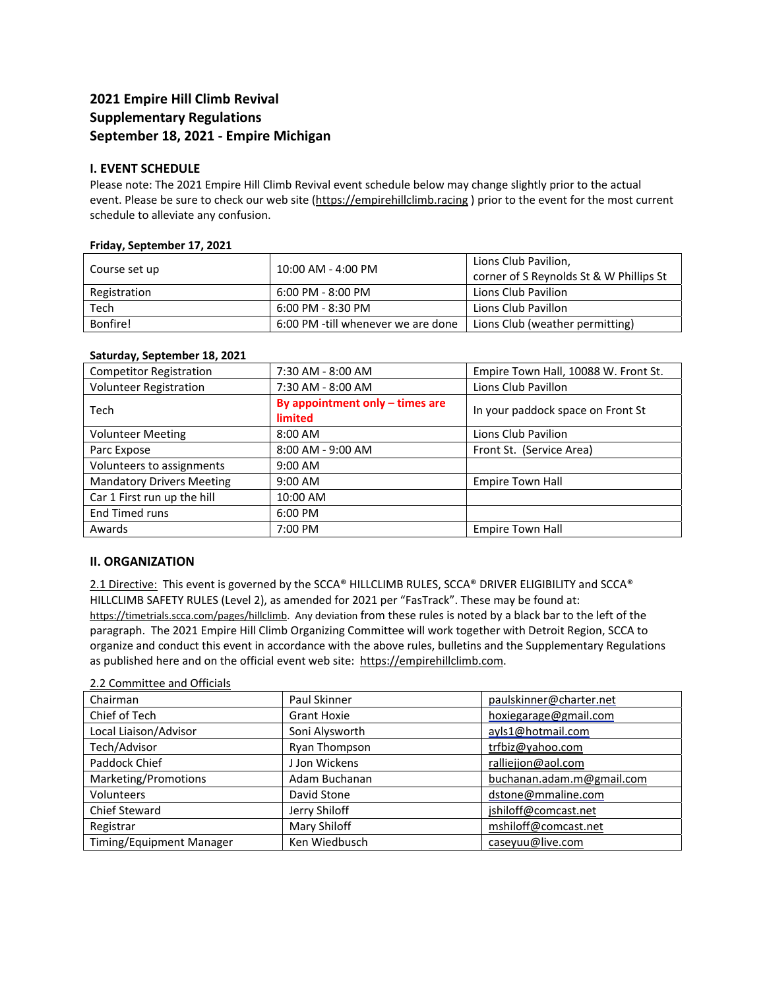# **2021 Empire Hill Climb Revival Supplementary Regulations September 18, 2021 ‐ Empire Michigan**

## **I. EVENT SCHEDULE**

Please note: The 2021 Empire Hill Climb Revival event schedule below may change slightly prior to the actual event. Please be sure to check our web site (https://empirehillclimb.racing) prior to the event for the most current schedule to alleviate any confusion.

#### **Friday, September 17, 2021**

| Course set up | 10:00 AM - 4:00 PM                 | Lions Club Pavilion,                    |
|---------------|------------------------------------|-----------------------------------------|
|               |                                    | corner of S Reynolds St & W Phillips St |
| Registration  | 6:00 PM - 8:00 PM                  | Lions Club Pavilion                     |
| Tech          | 6:00 PM - 8:30 PM                  | Lions Club Pavillon                     |
| Bonfire!      | 6:00 PM -till whenever we are done | Lions Club (weather permitting)         |

#### **Saturday, September 18, 2021**

| <b>Competitor Registration</b>   | 7:30 AM - 8:00 AM                            | Empire Town Hall, 10088 W. Front St. |
|----------------------------------|----------------------------------------------|--------------------------------------|
| <b>Volunteer Registration</b>    | 7:30 AM - 8:00 AM                            | Lions Club Pavillon                  |
| <b>Tech</b>                      | By appointment only $-$ times are<br>limited | In your paddock space on Front St    |
| <b>Volunteer Meeting</b>         | 8:00 AM                                      | Lions Club Pavilion                  |
| Parc Expose                      | 8:00 AM - 9:00 AM                            | Front St. (Service Area)             |
| Volunteers to assignments        | $9:00$ AM                                    |                                      |
| <b>Mandatory Drivers Meeting</b> | 9:00 AM                                      | <b>Empire Town Hall</b>              |
| Car 1 First run up the hill      | 10:00 AM                                     |                                      |
| End Timed runs                   | 6:00 PM                                      |                                      |
| Awards                           | 7:00 PM                                      | Empire Town Hall                     |

### **II. ORGANIZATION**

2.1 Directive: This event is governed by the SCCA® HILLCLIMB RULES, SCCA® DRIVER ELIGIBILITY and SCCA® HILLCLIMB SAFETY RULES (Level 2), as amended for 2021 per "FasTrack". These may be found at: https://timetrials.scca.com/pages/hillclimb. Any deviation from these rules is noted by a black bar to the left of the paragraph. The 2021 Empire Hill Climb Organizing Committee will work together with Detroit Region, SCCA to organize and conduct this event in accordance with the above rules, bulletins and the Supplementary Regulations as published here and on the official event web site: https://empirehillclimb.com.

### 2.2 Committee and Officials

| Chairman                 | Paul Skinner       | paulskinner@charter.net   |
|--------------------------|--------------------|---------------------------|
| Chief of Tech            | <b>Grant Hoxie</b> | hoxiegarage@gmail.com     |
| Local Liaison/Advisor    | Soni Alysworth     | ayls1@hotmail.com         |
| Tech/Advisor             | Ryan Thompson      | trfbiz@yahoo.com          |
| Paddock Chief            | J Jon Wickens      | ralliejjon@aol.com        |
| Marketing/Promotions     | Adam Buchanan      | buchanan.adam.m@gmail.com |
| Volunteers               | David Stone        | dstone@mmaline.com        |
| <b>Chief Steward</b>     | Jerry Shiloff      | jshiloff@comcast.net      |
| Registrar                | Mary Shiloff       | mshiloff@comcast.net      |
| Timing/Equipment Manager | Ken Wiedbusch      | caseyuu@live.com          |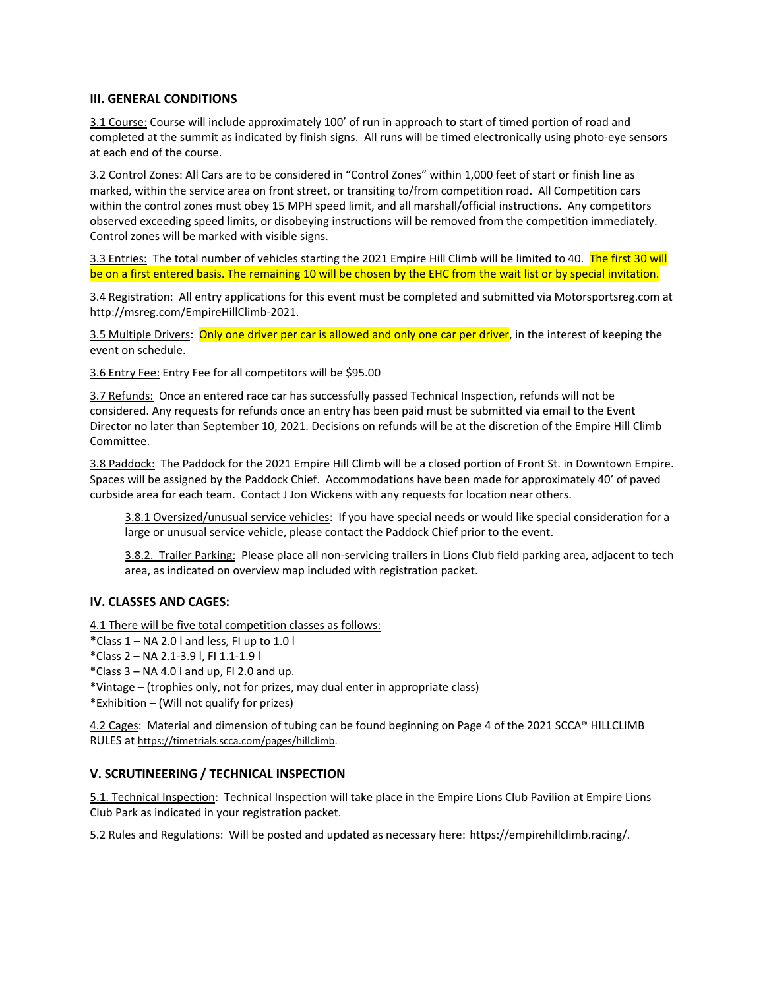### **III. GENERAL CONDITIONS**

3.1 Course: Course will include approximately 100' of run in approach to start of timed portion of road and completed at the summit as indicated by finish signs. All runs will be timed electronically using photo-eye sensors at each end of the course.

3.2 Control Zones: All Cars are to be considered in "Control Zones" within 1,000 feet of start or finish line as marked, within the service area on front street, or transiting to/from competition road. All Competition cars within the control zones must obey 15 MPH speed limit, and all marshall/official instructions. Any competitors observed exceeding speed limits, or disobeying instructions will be removed from the competition immediately. Control zones will be marked with visible signs.

3.3 Entries: The total number of vehicles starting the 2021 Empire Hill Climb will be limited to 40. The first 30 will be on a first entered basis. The remaining 10 will be chosen by the EHC from the wait list or by special invitation.

3.4 Registration: All entry applications for this event must be completed and submitted via Motorsportsreg.com at http://msreg.com/EmpireHillClimb‐2021.

3.5 Multiple Drivers: Only one driver per car is allowed and only one car per driver, in the interest of keeping the event on schedule.

3.6 Entry Fee: Entry Fee for all competitors will be \$95.00

3.7 Refunds: Once an entered race car has successfully passed Technical Inspection, refunds will not be considered. Any requests for refunds once an entry has been paid must be submitted via email to the Event Director no later than September 10, 2021. Decisions on refunds will be at the discretion of the Empire Hill Climb Committee.

3.8 Paddock: The Paddock for the 2021 Empire Hill Climb will be a closed portion of Front St. in Downtown Empire. Spaces will be assigned by the Paddock Chief. Accommodations have been made for approximately 40' of paved curbside area for each team. Contact J Jon Wickens with any requests for location near others.

3.8.1 Oversized/unusual service vehicles: If you have special needs or would like special consideration for a large or unusual service vehicle, please contact the Paddock Chief prior to the event.

3.8.2. Trailer Parking: Please place all non-servicing trailers in Lions Club field parking area, adjacent to tech area, as indicated on overview map included with registration packet.

### **IV. CLASSES AND CAGES:**

4.1 There will be five total competition classes as follows:

- \*Class  $1 NA$  2.0 l and less, FI up to 1.0 l
- \*Class 2 NA 2.1‐3.9 l, FI 1.1‐1.9 l
- \*Class  $3 NA$  4.0 l and up, FI 2.0 and up.
- \*Vintage (trophies only, not for prizes, may dual enter in appropriate class)
- \*Exhibition (Will not qualify for prizes)

4.2 Cages: Material and dimension of tubing can be found beginning on Page 4 of the 2021 SCCA® HILLCLIMB RULES at https://timetrials.scca.com/pages/hillclimb.

### **V. SCRUTINEERING / TECHNICAL INSPECTION**

5.1. Technical Inspection: Technical Inspection will take place in the Empire Lions Club Pavilion at Empire Lions Club Park as indicated in your registration packet.

5.2 Rules and Regulations: Will be posted and updated as necessary here: https://empirehillclimb.racing/.